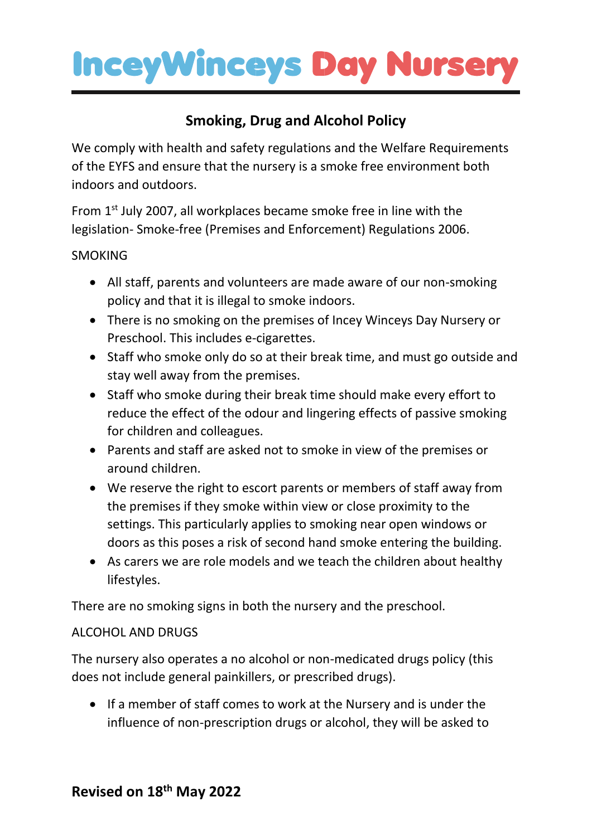## **InceyWinceys Day Nursery**

### **Smoking, Drug and Alcohol Policy**

We comply with health and safety regulations and the Welfare Requirements of the EYFS and ensure that the nursery is a smoke free environment both indoors and outdoors.

From 1<sup>st</sup> July 2007, all workplaces became smoke free in line with the legislation- Smoke-free (Premises and Enforcement) Regulations 2006.

#### SMOKING

- All staff, parents and volunteers are made aware of our non-smoking policy and that it is illegal to smoke indoors.
- There is no smoking on the premises of Incey Winceys Day Nursery or Preschool. This includes e-cigarettes.
- Staff who smoke only do so at their break time, and must go outside and stay well away from the premises.
- Staff who smoke during their break time should make every effort to reduce the effect of the odour and lingering effects of passive smoking for children and colleagues.
- Parents and staff are asked not to smoke in view of the premises or around children.
- We reserve the right to escort parents or members of staff away from the premises if they smoke within view or close proximity to the settings. This particularly applies to smoking near open windows or doors as this poses a risk of second hand smoke entering the building.
- As carers we are role models and we teach the children about healthy lifestyles.

There are no smoking signs in both the nursery and the preschool.

#### ALCOHOL AND DRUGS

The nursery also operates a no alcohol or non-medicated drugs policy (this does not include general painkillers, or prescribed drugs).

• If a member of staff comes to work at the Nursery and is under the influence of non-prescription drugs or alcohol, they will be asked to